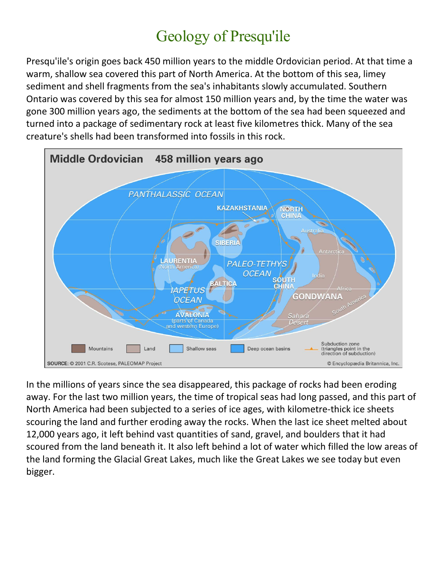## Geology of Presqu'ile

Presqu'ile's origin goes back 450 million years to the middle Ordovician period. At that time a warm, shallow sea covered this part of North America. At the bottom of this sea, limey sediment and shell fragments from the sea's inhabitants slowly accumulated. Southern Ontario was covered by this sea for almost 150 million years and, by the time the water was gone 300 million years ago, the sediments at the bottom of the sea had been squeezed and turned into a package of sedimentary rock at least five kilometres thick. Many of the sea creature's shells had been transformed into fossils in this rock.



In the millions of years since the sea disappeared, this package of rocks had been eroding away. For the last two million years, the time of tropical seas had long passed, and this part of North America had been subjected to a series of ice ages, with kilometre-thick ice sheets scouring the land and further eroding away the rocks. When the last ice sheet melted about 12,000 years ago, it left behind vast quantities of sand, gravel, and boulders that it had scoured from the land beneath it. It also left behind a lot of water which filled the low areas of the land forming the Glacial Great Lakes, much like the Great Lakes we see today but even bigger.